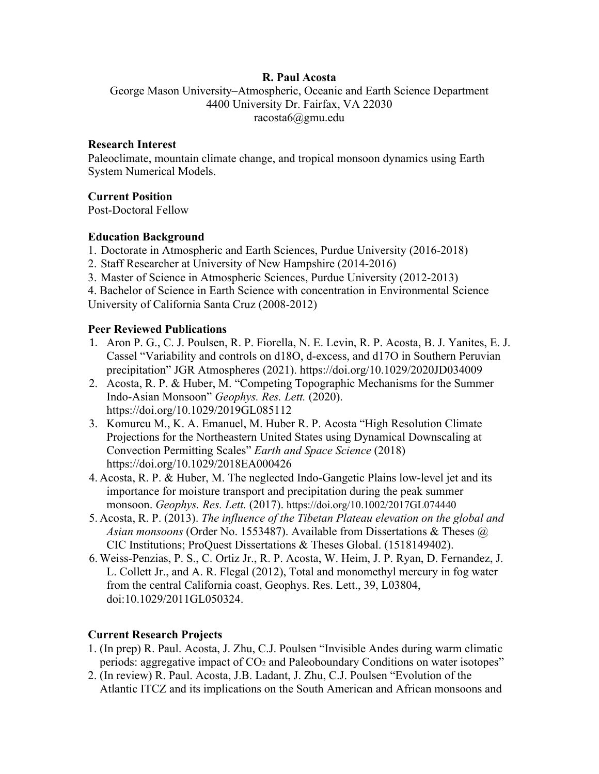### **R. Paul Acosta**

George Mason University–Atmospheric, Oceanic and Earth Science Department 4400 University Dr. Fairfax, VA 22030 racosta6@gmu.edu

#### **Research Interest**

Paleoclimate, mountain climate change, and tropical monsoon dynamics using Earth System Numerical Models.

### **Current Position**

Post-Doctoral Fellow

### **Education Background**

- 1. Doctorate in Atmospheric and Earth Sciences, Purdue University (2016-2018)
- 2. Staff Researcher at University of New Hampshire (2014-2016)
- 3. Master of Science in Atmospheric Sciences, Purdue University (2012-2013)

4. Bachelor of Science in Earth Science with concentration in Environmental Science University of California Santa Cruz (2008-2012)

### **Peer Reviewed Publications**

- 1. Aron P. G., C. J. Poulsen, R. P. Fiorella, N. E. Levin, R. P. Acosta, B. J. Yanites, E. J. Cassel "Variability and controls on d18O, d-excess, and d17O in Southern Peruvian precipitation" JGR Atmospheres (2021). https://doi.org/10.1029/2020JD034009
- 2. Acosta, R. P. & Huber, M. "Competing Topographic Mechanisms for the Summer Indo-Asian Monsoon" *Geophys. Res. Lett.* (2020). https://doi.org/10.1029/2019GL085112
- 3. Komurcu M., K. A. Emanuel, M. Huber R. P. Acosta "High Resolution Climate Projections for the Northeastern United States using Dynamical Downscaling at Convection Permitting Scales" *Earth and Space Science* (2018) https://doi.org/10.1029/2018EA000426
- 4. Acosta, R. P. & Huber, M. The neglected Indo-Gangetic Plains low-level jet and its importance for moisture transport and precipitation during the peak summer monsoon. *Geophys. Res. Lett.* (2017). https://doi.org/10.1002/2017GL074440
- 5. Acosta, R. P. (2013). *The influence of the Tibetan Plateau elevation on the global and Asian monsoons* (Order No. 1553487). Available from Dissertations & Theses @ CIC Institutions; ProQuest Dissertations & Theses Global. (1518149402).
- 6. Weiss-Penzias, P. S., C. Ortiz Jr., R. P. Acosta, W. Heim, J. P. Ryan, D. Fernandez, J. L. Collett Jr., and A. R. Flegal (2012), Total and monomethyl mercury in fog water from the central California coast, Geophys. Res. Lett., 39, L03804, doi:10.1029/2011GL050324.

# **Current Research Projects**

- 1. (In prep) R. Paul. Acosta, J. Zhu, C.J. Poulsen "Invisible Andes during warm climatic periods: aggregative impact of  $CO<sub>2</sub>$  and Paleoboundary Conditions on water isotopes"
- 2. (In review) R. Paul. Acosta, J.B. Ladant, J. Zhu, C.J. Poulsen "Evolution of the Atlantic ITCZ and its implications on the South American and African monsoons and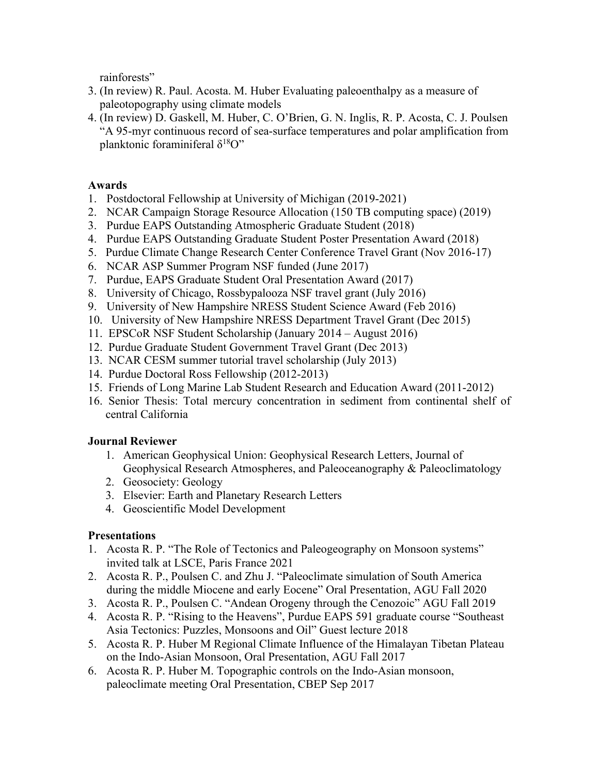rainforests"

- 3. (In review) R. Paul. Acosta. M. Huber Evaluating paleoenthalpy as a measure of paleotopography using climate models
- 4. (In review) D. Gaskell, M. Huber, C. O'Brien, G. N. Inglis, R. P. Acosta, C. J. Poulsen "A 95-myr continuous record of sea-surface temperatures and polar amplification from planktonic foraminiferal  $\delta^{18}O$ "

### **Awards**

- 1. Postdoctoral Fellowship at University of Michigan (2019-2021)
- 2. NCAR Campaign Storage Resource Allocation (150 TB computing space) (2019)
- 3. Purdue EAPS Outstanding Atmospheric Graduate Student (2018)
- 4. Purdue EAPS Outstanding Graduate Student Poster Presentation Award (2018)
- 5. Purdue Climate Change Research Center Conference Travel Grant (Nov 2016-17)
- 6. NCAR ASP Summer Program NSF funded (June 2017)
- 7. Purdue, EAPS Graduate Student Oral Presentation Award (2017)
- 8. University of Chicago, Rossbypalooza NSF travel grant (July 2016)
- 9. University of New Hampshire NRESS Student Science Award (Feb 2016)
- 10. University of New Hampshire NRESS Department Travel Grant (Dec 2015)
- 11. EPSCoR NSF Student Scholarship (January 2014 August 2016)
- 12. Purdue Graduate Student Government Travel Grant (Dec 2013)
- 13. NCAR CESM summer tutorial travel scholarship (July 2013)
- 14. Purdue Doctoral Ross Fellowship (2012-2013)
- 15. Friends of Long Marine Lab Student Research and Education Award (2011-2012)
- 16. Senior Thesis: Total mercury concentration in sediment from continental shelf of central California

#### **Journal Reviewer**

- 1. American Geophysical Union: Geophysical Research Letters, Journal of Geophysical Research Atmospheres, and Paleoceanography & Paleoclimatology
- 2. Geosociety: Geology
- 3. Elsevier: Earth and Planetary Research Letters
- 4. Geoscientific Model Development

#### **Presentations**

- 1. Acosta R. P. "The Role of Tectonics and Paleogeography on Monsoon systems" invited talk at LSCE, Paris France 2021
- 2. Acosta R. P., Poulsen C. and Zhu J. "Paleoclimate simulation of South America during the middle Miocene and early Eocene" Oral Presentation, AGU Fall 2020
- 3. Acosta R. P., Poulsen C. "Andean Orogeny through the Cenozoic" AGU Fall 2019
- 4. Acosta R. P. "Rising to the Heavens", Purdue EAPS 591 graduate course "Southeast Asia Tectonics: Puzzles, Monsoons and Oil" Guest lecture 2018
- 5. Acosta R. P. Huber M Regional Climate Influence of the Himalayan Tibetan Plateau on the Indo-Asian Monsoon, Oral Presentation, AGU Fall 2017
- 6. Acosta R. P. Huber M. Topographic controls on the Indo-Asian monsoon, paleoclimate meeting Oral Presentation, CBEP Sep 2017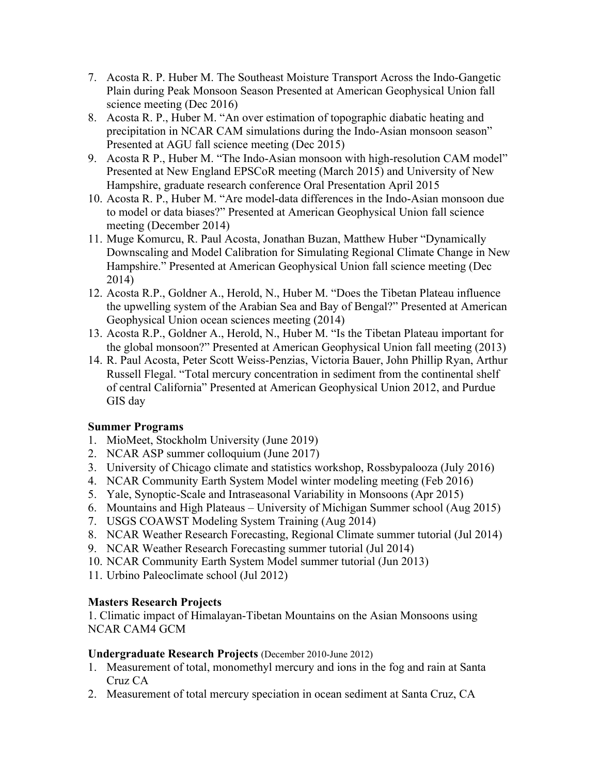- 7. Acosta R. P. Huber M. The Southeast Moisture Transport Across the Indo-Gangetic Plain during Peak Monsoon Season Presented at American Geophysical Union fall science meeting (Dec 2016)
- 8. Acosta R. P., Huber M. "An over estimation of topographic diabatic heating and precipitation in NCAR CAM simulations during the Indo-Asian monsoon season" Presented at AGU fall science meeting (Dec 2015)
- 9. Acosta R P., Huber M. "The Indo-Asian monsoon with high-resolution CAM model" Presented at New England EPSCoR meeting (March 2015) and University of New Hampshire, graduate research conference Oral Presentation April 2015
- 10. Acosta R. P., Huber M. "Are model-data differences in the Indo-Asian monsoon due to model or data biases?" Presented at American Geophysical Union fall science meeting (December 2014)
- 11. Muge Komurcu, R. Paul Acosta, Jonathan Buzan, Matthew Huber "Dynamically Downscaling and Model Calibration for Simulating Regional Climate Change in New Hampshire." Presented at American Geophysical Union fall science meeting (Dec 2014)
- 12. Acosta R.P., Goldner A., Herold, N., Huber M. "Does the Tibetan Plateau influence the upwelling system of the Arabian Sea and Bay of Bengal?" Presented at American Geophysical Union ocean sciences meeting (2014)
- 13. Acosta R.P., Goldner A., Herold, N., Huber M. "Is the Tibetan Plateau important for the global monsoon?" Presented at American Geophysical Union fall meeting (2013)
- 14. R. Paul Acosta, Peter Scott Weiss-Penzias, Victoria Bauer, John Phillip Ryan, Arthur Russell Flegal. "Total mercury concentration in sediment from the continental shelf of central California" Presented at American Geophysical Union 2012, and Purdue GIS day

# **Summer Programs**

- 1. MioMeet, Stockholm University (June 2019)
- 2. NCAR ASP summer colloquium (June 2017)
- 3. University of Chicago climate and statistics workshop, Rossbypalooza (July 2016)
- 4. NCAR Community Earth System Model winter modeling meeting (Feb 2016)
- 5. Yale, Synoptic-Scale and Intraseasonal Variability in Monsoons (Apr 2015)
- 6. Mountains and High Plateaus University of Michigan Summer school (Aug 2015)
- 7. USGS COAWST Modeling System Training (Aug 2014)
- 8. NCAR Weather Research Forecasting, Regional Climate summer tutorial (Jul 2014)
- 9. NCAR Weather Research Forecasting summer tutorial (Jul 2014)
- 10. NCAR Community Earth System Model summer tutorial (Jun 2013)
- 11. Urbino Paleoclimate school (Jul 2012)

# **Masters Research Projects**

1. Climatic impact of Himalayan-Tibetan Mountains on the Asian Monsoons using NCAR CAM4 GCM

# **Undergraduate Research Projects** (December 2010-June 2012)

- 1. Measurement of total, monomethyl mercury and ions in the fog and rain at Santa Cruz CA
- 2. Measurement of total mercury speciation in ocean sediment at Santa Cruz, CA